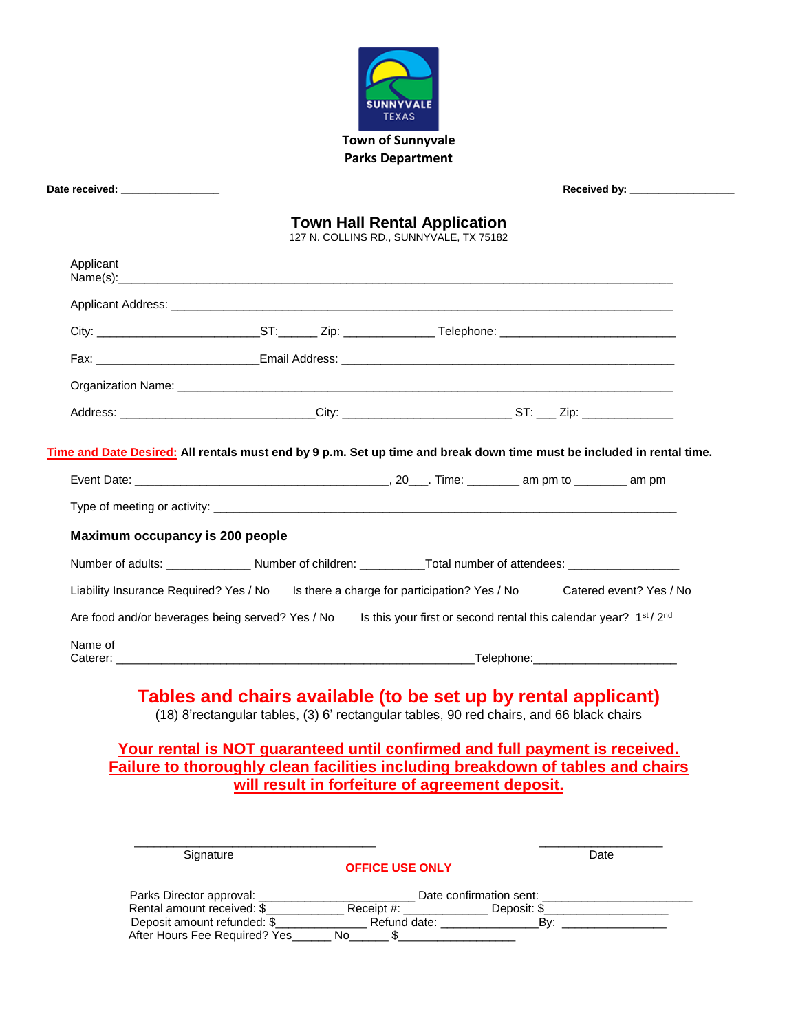

| Date received: _________________                 |                                                                                                                |                                                                                |                                                                                                                        |
|--------------------------------------------------|----------------------------------------------------------------------------------------------------------------|--------------------------------------------------------------------------------|------------------------------------------------------------------------------------------------------------------------|
|                                                  |                                                                                                                | <b>Town Hall Rental Application</b><br>127 N. COLLINS RD., SUNNYVALE, TX 75182 |                                                                                                                        |
| Applicant                                        |                                                                                                                |                                                                                |                                                                                                                        |
|                                                  |                                                                                                                |                                                                                |                                                                                                                        |
|                                                  |                                                                                                                |                                                                                |                                                                                                                        |
|                                                  |                                                                                                                |                                                                                |                                                                                                                        |
|                                                  |                                                                                                                |                                                                                |                                                                                                                        |
|                                                  |                                                                                                                |                                                                                |                                                                                                                        |
|                                                  | Address: ________________________________City: ________________________________ST: ____ Zip: _________________ |                                                                                | Time and Date Desired: All rentals must end by 9 p.m. Set up time and break down time must be included in rental time. |
| Maximum occupancy is 200 people                  |                                                                                                                |                                                                                |                                                                                                                        |
|                                                  | Number of adults: _________________Number of children: ___________Total number of attendees: _________________ |                                                                                |                                                                                                                        |
|                                                  |                                                                                                                |                                                                                | Liability Insurance Required? Yes / No Is there a charge for participation? Yes / No Catered event? Yes / No           |
| Are food and/or beverages being served? Yes / No |                                                                                                                |                                                                                | Is this your first or second rental this calendar year? 1st / 2nd                                                      |

# **Failure to thoroughly clean facilities including breakdown of tables and chairs will result in forfeiture of agreement deposit.**

| Signature                     |                        |                         | Date |
|-------------------------------|------------------------|-------------------------|------|
|                               | <b>OFFICE USE ONLY</b> |                         |      |
| Parks Director approval:      |                        | Date confirmation sent: |      |
| Rental amount received: \$    | Receipt #:             | Deposit: \$             |      |
| Deposit amount refunded: \$   | Refund date:           | Bv:                     |      |
| After Hours Fee Required? Yes | No.                    |                         |      |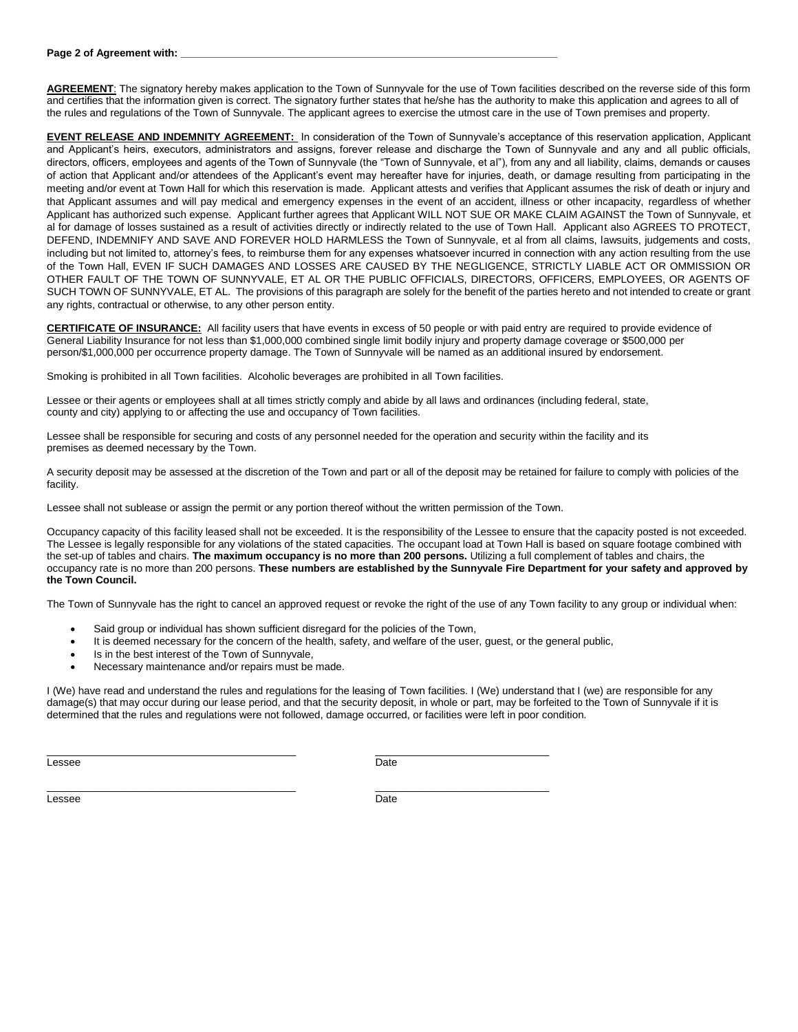#### **Page 2 of Agreement with:**

**AGREEMENT**: The signatory hereby makes application to the Town of Sunnyvale for the use of Town facilities described on the reverse side of this form and certifies that the information given is correct. The signatory further states that he/she has the authority to make this application and agrees to all of the rules and regulations of the Town of Sunnyvale. The applicant agrees to exercise the utmost care in the use of Town premises and property.

**EVENT RELEASE AND INDEMNITY AGREEMENT:** In consideration of the Town of Sunnyvale's acceptance of this reservation application, Applicant and Applicant's heirs, executors, administrators and assigns, forever release and discharge the Town of Sunnyvale and any and all public officials, directors, officers, employees and agents of the Town of Sunnyvale (the "Town of Sunnyvale, et al"), from any and all liability, claims, demands or causes of action that Applicant and/or attendees of the Applicant's event may hereafter have for injuries, death, or damage resulting from participating in the meeting and/or event at Town Hall for which this reservation is made. Applicant attests and verifies that Applicant assumes the risk of death or injury and that Applicant assumes and will pay medical and emergency expenses in the event of an accident, illness or other incapacity, regardless of whether Applicant has authorized such expense. Applicant further agrees that Applicant WILL NOT SUE OR MAKE CLAIM AGAINST the Town of Sunnyvale, et al for damage of losses sustained as a result of activities directly or indirectly related to the use of Town Hall. Applicant also AGREES TO PROTECT, DEFEND, INDEMNIFY AND SAVE AND FOREVER HOLD HARMLESS the Town of Sunnyvale, et al from all claims, lawsuits, judgements and costs, including but not limited to, attorney's fees, to reimburse them for any expenses whatsoever incurred in connection with any action resulting from the use of the Town Hall, EVEN IF SUCH DAMAGES AND LOSSES ARE CAUSED BY THE NEGLIGENCE, STRICTLY LIABLE ACT OR OMMISSION OR OTHER FAULT OF THE TOWN OF SUNNYVALE, ET AL OR THE PUBLIC OFFICIALS, DIRECTORS, OFFICERS, EMPLOYEES, OR AGENTS OF SUCH TOWN OF SUNNYVALE, ET AL. The provisions of this paragraph are solely for the benefit of the parties hereto and not intended to create or grant any rights, contractual or otherwise, to any other person entity.

**CERTIFICATE OF INSURANCE:** All facility users that have events in excess of 50 people or with paid entry are required to provide evidence of General Liability Insurance for not less than \$1,000,000 combined single limit bodily injury and property damage coverage or \$500,000 per person/\$1,000,000 per occurrence property damage. The Town of Sunnyvale will be named as an additional insured by endorsement.

Smoking is prohibited in all Town facilities. Alcoholic beverages are prohibited in all Town facilities.

Lessee or their agents or employees shall at all times strictly comply and abide by all laws and ordinances (including federal, state, county and city) applying to or affecting the use and occupancy of Town facilities.

Lessee shall be responsible for securing and costs of any personnel needed for the operation and security within the facility and its premises as deemed necessary by the Town.

A security deposit may be assessed at the discretion of the Town and part or all of the deposit may be retained for failure to comply with policies of the facility.

Lessee shall not sublease or assign the permit or any portion thereof without the written permission of the Town.

Occupancy capacity of this facility leased shall not be exceeded. It is the responsibility of the Lessee to ensure that the capacity posted is not exceeded. The Lessee is legally responsible for any violations of the stated capacities. The occupant load at Town Hall is based on square footage combined with the set-up of tables and chairs. **The maximum occupancy is no more than 200 persons.** Utilizing a full complement of tables and chairs, the occupancy rate is no more than 200 persons. **These numbers are established by the Sunnyvale Fire Department for your safety and approved by the Town Council.**

The Town of Sunnyvale has the right to cancel an approved request or revoke the right of the use of any Town facility to any group or individual when:

Said group or individual has shown sufficient disregard for the policies of the Town,

 $\_$  , and the set of the set of the set of the set of the set of the set of the set of the set of the set of the set of the set of the set of the set of the set of the set of the set of the set of the set of the set of th

- It is deemed necessary for the concern of the health, safety, and welfare of the user, guest, or the general public,
- Is in the best interest of the Town of Sunnyvale,
- Necessary maintenance and/or repairs must be made.

I (We) have read and understand the rules and regulations for the leasing of Town facilities. I (We) understand that I (we) are responsible for any damage(s) that may occur during our lease period, and that the security deposit, in whole or part, may be forfeited to the Town of Sunnyvale if it is determined that the rules and regulations were not followed, damage occurred, or facilities were left in poor condition.

Lessee Date

Lessee Date

\_\_\_\_\_\_\_\_\_\_\_\_\_\_\_\_\_\_\_\_\_\_\_\_\_\_\_\_\_\_\_\_\_\_\_\_\_\_\_\_\_\_\_ \_\_\_\_\_\_\_\_\_\_\_\_\_\_\_\_\_\_\_\_\_\_\_\_\_\_\_\_\_\_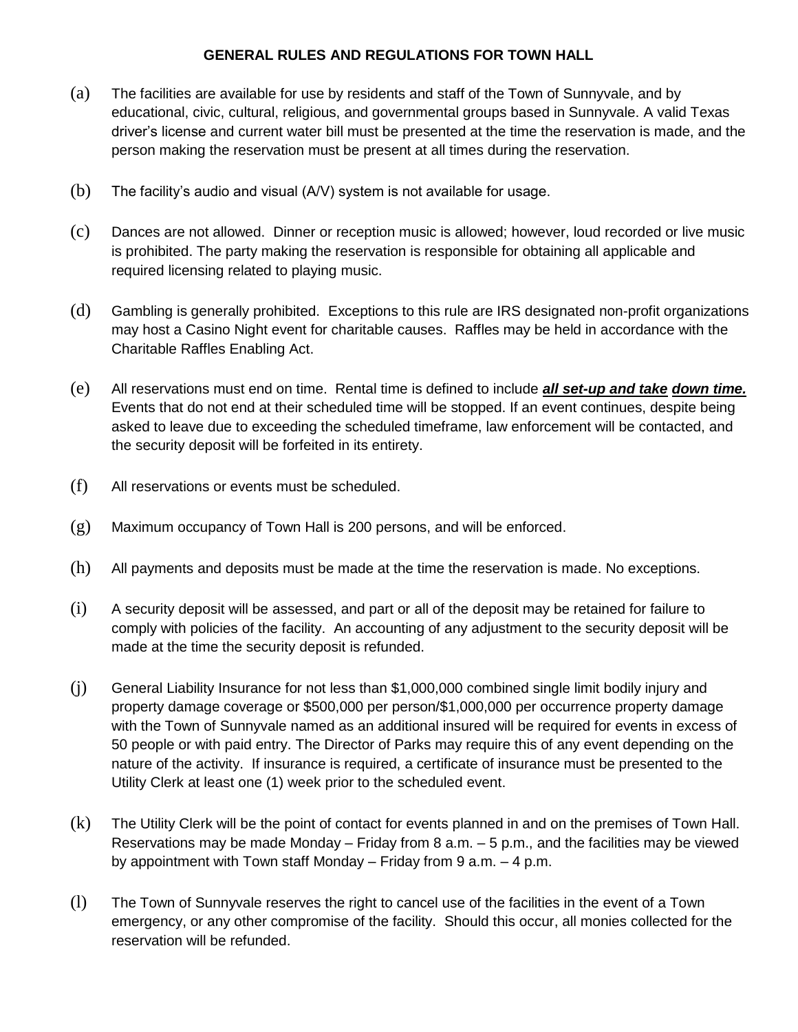### **GENERAL RULES AND REGULATIONS FOR TOWN HALL**

- (a) The facilities are available for use by residents and staff of the Town of Sunnyvale, and by educational, civic, cultural, religious, and governmental groups based in Sunnyvale. A valid Texas driver's license and current water bill must be presented at the time the reservation is made, and the person making the reservation must be present at all times during the reservation.
- (b) The facility's audio and visual (A/V) system is not available for usage.
- (c) Dances are not allowed. Dinner or reception music is allowed; however, loud recorded or live music is prohibited. The party making the reservation is responsible for obtaining all applicable and required licensing related to playing music.
- (d) Gambling is generally prohibited. Exceptions to this rule are IRS designated non-profit organizations may host a Casino Night event for charitable causes. Raffles may be held in accordance with the Charitable Raffles Enabling Act.
- (e) All reservations must end on time. Rental time is defined to include *all set-up and take down time.* Events that do not end at their scheduled time will be stopped. If an event continues, despite being asked to leave due to exceeding the scheduled timeframe, law enforcement will be contacted, and the security deposit will be forfeited in its entirety.
- (f) All reservations or events must be scheduled.
- (g) Maximum occupancy of Town Hall is 200 persons, and will be enforced.
- (h) All payments and deposits must be made at the time the reservation is made. No exceptions.
- (i) A security deposit will be assessed, and part or all of the deposit may be retained for failure to comply with policies of the facility. An accounting of any adjustment to the security deposit will be made at the time the security deposit is refunded.
- (j) General Liability Insurance for not less than \$1,000,000 combined single limit bodily injury and property damage coverage or \$500,000 per person/\$1,000,000 per occurrence property damage with the Town of Sunnyvale named as an additional insured will be required for events in excess of 50 people or with paid entry. The Director of Parks may require this of any event depending on the nature of the activity. If insurance is required, a certificate of insurance must be presented to the Utility Clerk at least one (1) week prior to the scheduled event.
- (k) The Utility Clerk will be the point of contact for events planned in and on the premises of Town Hall. Reservations may be made Monday – Friday from 8 a.m. – 5 p.m., and the facilities may be viewed by appointment with Town staff Monday – Friday from 9 a.m. – 4 p.m.
- (l) The Town of Sunnyvale reserves the right to cancel use of the facilities in the event of a Town emergency, or any other compromise of the facility. Should this occur, all monies collected for the reservation will be refunded.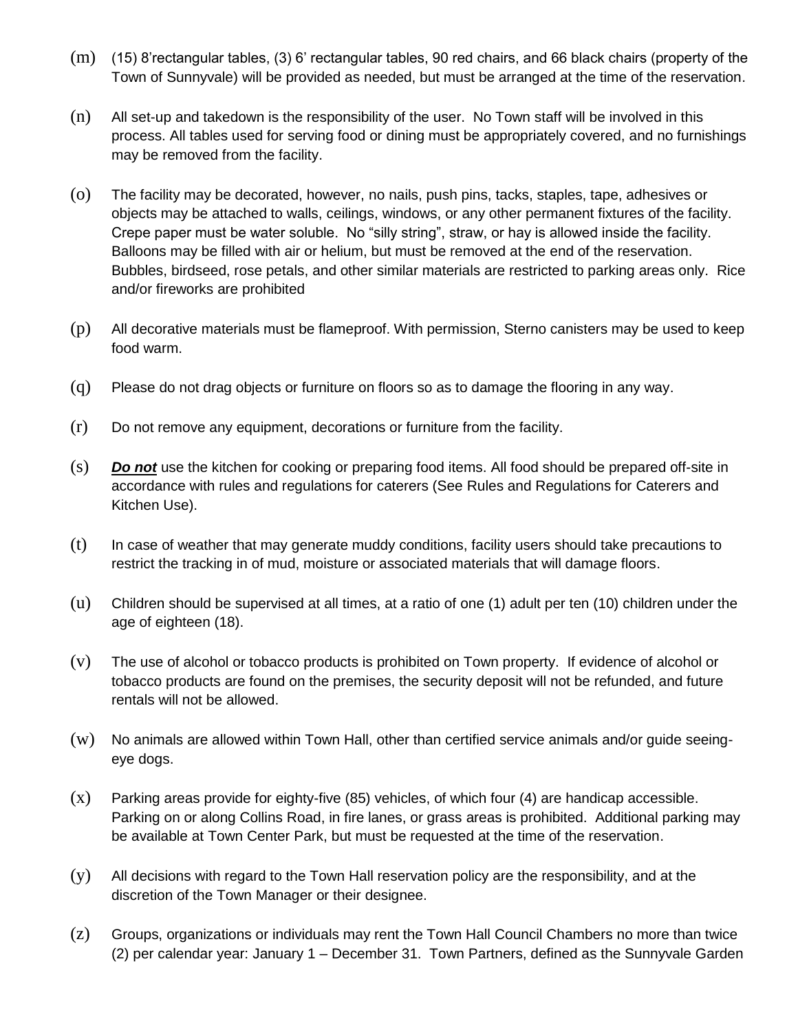- (m) (15) 8'rectangular tables, (3) 6' rectangular tables, 90 red chairs, and 66 black chairs (property of the Town of Sunnyvale) will be provided as needed, but must be arranged at the time of the reservation.
- (n) All set-up and takedown is the responsibility of the user. No Town staff will be involved in this process. All tables used for serving food or dining must be appropriately covered, and no furnishings may be removed from the facility.
- (o) The facility may be decorated, however, no nails, push pins, tacks, staples, tape, adhesives or objects may be attached to walls, ceilings, windows, or any other permanent fixtures of the facility. Crepe paper must be water soluble. No "silly string", straw, or hay is allowed inside the facility. Balloons may be filled with air or helium, but must be removed at the end of the reservation. Bubbles, birdseed, rose petals, and other similar materials are restricted to parking areas only. Rice and/or fireworks are prohibited
- (p) All decorative materials must be flameproof. With permission, Sterno canisters may be used to keep food warm.
- (q) Please do not drag objects or furniture on floors so as to damage the flooring in any way.
- (r) Do not remove any equipment, decorations or furniture from the facility.
- (s) *Do not* use the kitchen for cooking or preparing food items. All food should be prepared off-site in accordance with rules and regulations for caterers (See Rules and Regulations for Caterers and Kitchen Use).
- (t) In case of weather that may generate muddy conditions, facility users should take precautions to restrict the tracking in of mud, moisture or associated materials that will damage floors.
- (u) Children should be supervised at all times, at a ratio of one (1) adult per ten (10) children under the age of eighteen (18).
- (v) The use of alcohol or tobacco products is prohibited on Town property. If evidence of alcohol or tobacco products are found on the premises, the security deposit will not be refunded, and future rentals will not be allowed.
- (w) No animals are allowed within Town Hall, other than certified service animals and/or guide seeingeye dogs.
- (x) Parking areas provide for eighty-five (85) vehicles, of which four (4) are handicap accessible. Parking on or along Collins Road, in fire lanes, or grass areas is prohibited. Additional parking may be available at Town Center Park, but must be requested at the time of the reservation.
- (y) All decisions with regard to the Town Hall reservation policy are the responsibility, and at the discretion of the Town Manager or their designee.
- (z) Groups, organizations or individuals may rent the Town Hall Council Chambers no more than twice (2) per calendar year: January 1 – December 31. Town Partners, defined as the Sunnyvale Garden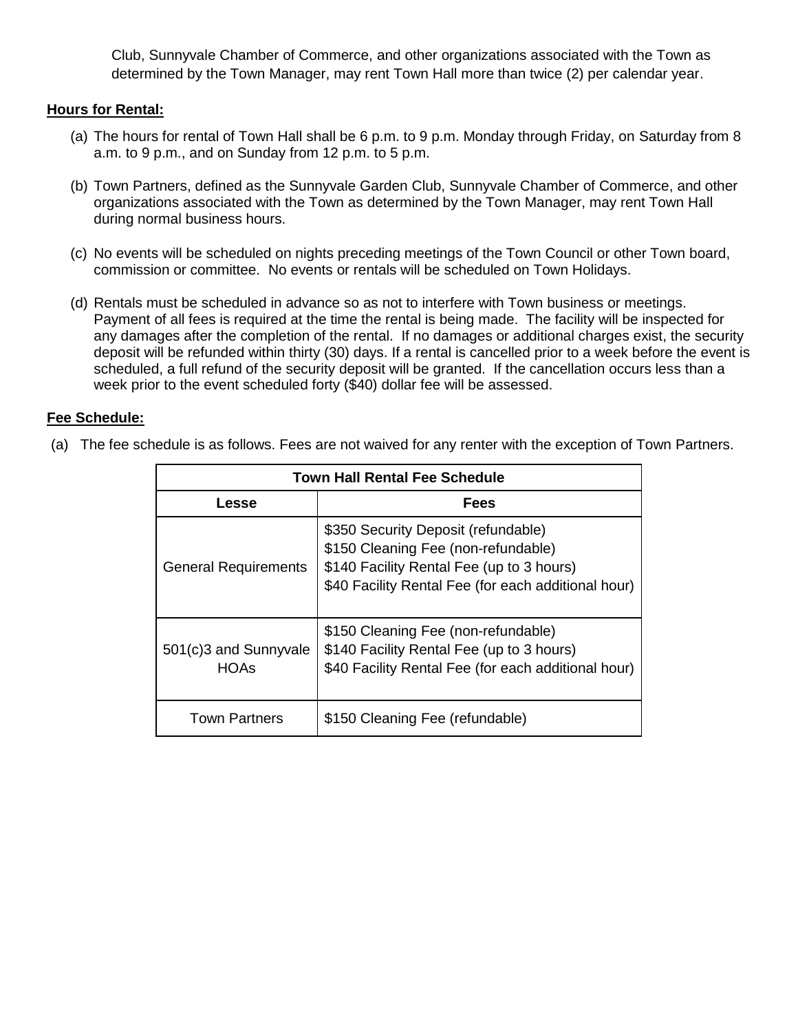Club, Sunnyvale Chamber of Commerce, and other organizations associated with the Town as determined by the Town Manager, may rent Town Hall more than twice (2) per calendar year.

#### **Hours for Rental:**

- (a) The hours for rental of Town Hall shall be 6 p.m. to 9 p.m. Monday through Friday, on Saturday from 8 a.m. to 9 p.m., and on Sunday from 12 p.m. to 5 p.m.
- (b) Town Partners, defined as the Sunnyvale Garden Club, Sunnyvale Chamber of Commerce, and other organizations associated with the Town as determined by the Town Manager, may rent Town Hall during normal business hours.
- (c) No events will be scheduled on nights preceding meetings of the Town Council or other Town board, commission or committee. No events or rentals will be scheduled on Town Holidays.
- (d) Rentals must be scheduled in advance so as not to interfere with Town business or meetings. Payment of all fees is required at the time the rental is being made. The facility will be inspected for any damages after the completion of the rental. If no damages or additional charges exist, the security deposit will be refunded within thirty (30) days. If a rental is cancelled prior to a week before the event is scheduled, a full refund of the security deposit will be granted. If the cancellation occurs less than a week prior to the event scheduled forty (\$40) dollar fee will be assessed.

#### **Fee Schedule:**

| Town Hall Rental Fee Schedule        |                                                                                                                                                                                |  |  |  |
|--------------------------------------|--------------------------------------------------------------------------------------------------------------------------------------------------------------------------------|--|--|--|
| Lesse                                | <b>Fees</b>                                                                                                                                                                    |  |  |  |
| <b>General Requirements</b>          | \$350 Security Deposit (refundable)<br>\$150 Cleaning Fee (non-refundable)<br>\$140 Facility Rental Fee (up to 3 hours)<br>\$40 Facility Rental Fee (for each additional hour) |  |  |  |
| 501(c)3 and Sunnyvale<br><b>HOAs</b> | \$150 Cleaning Fee (non-refundable)<br>\$140 Facility Rental Fee (up to 3 hours)<br>\$40 Facility Rental Fee (for each additional hour)                                        |  |  |  |
| <b>Town Partners</b>                 | \$150 Cleaning Fee (refundable)                                                                                                                                                |  |  |  |

(a) The fee schedule is as follows. Fees are not waived for any renter with the exception of Town Partners.